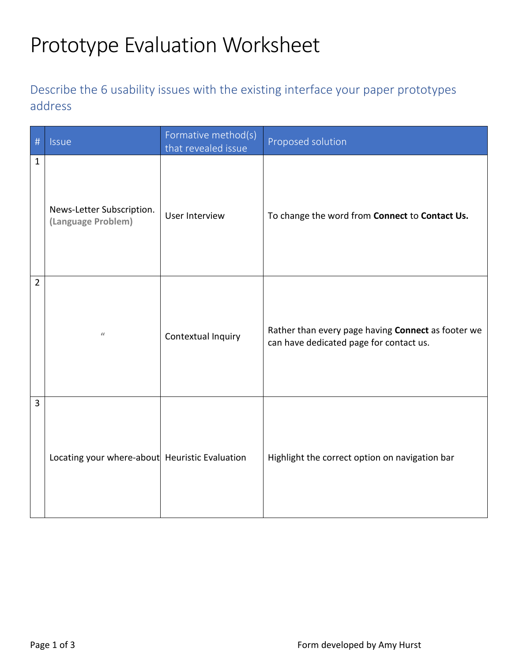## Prototype Evaluation Worksheet

## Describe the 6 usability issues with the existing interface your paper prototypes address

| #              | Issue                                           | Formative method(s)<br>that revealed issue | Proposed solution                                                                             |
|----------------|-------------------------------------------------|--------------------------------------------|-----------------------------------------------------------------------------------------------|
| $\mathbf{1}$   | News-Letter Subscription.<br>(Language Problem) | User Interview                             | To change the word from Connect to Contact Us.                                                |
| $\overline{2}$ | $\ell\ell$                                      | Contextual Inquiry                         | Rather than every page having Connect as footer we<br>can have dedicated page for contact us. |
| $\overline{3}$ | Locating your where-about Heuristic Evaluation  |                                            | Highlight the correct option on navigation bar                                                |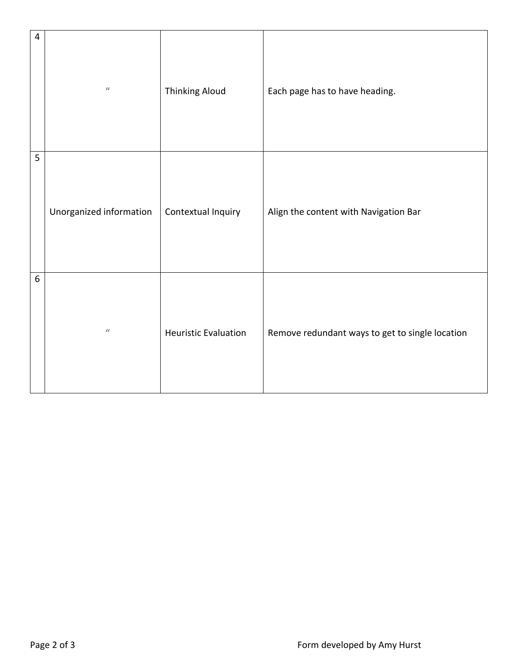| $\overline{\mathbf{4}}$ | $\ell\ell$              | <b>Thinking Aloud</b>       | Each page has to have heading.                  |
|-------------------------|-------------------------|-----------------------------|-------------------------------------------------|
| 5                       | Unorganized information | Contextual Inquiry          | Align the content with Navigation Bar           |
| $6\,$                   | $\ell\ell$              | <b>Heuristic Evaluation</b> | Remove redundant ways to get to single location |